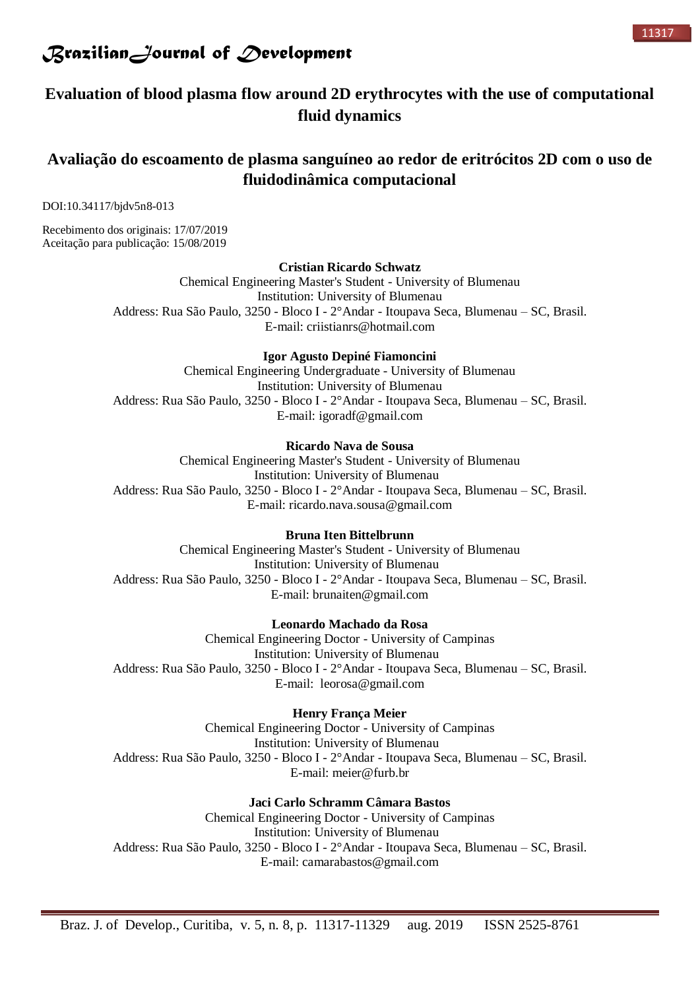

## **Evaluation of blood plasma flow around 2D erythrocytes with the use of computational fluid dynamics**

## **Avaliação do escoamento de plasma sanguíneo ao redor de eritrócitos 2D com o uso de fluidodinâmica computacional**

DOI:10.34117/bjdv5n8-013

Recebimento dos originais: 17/07/2019 Aceitação para publicação: 15/08/2019

### **Cristian Ricardo Schwatz**

Chemical Engineering Master's Student - University of Blumenau Institution: University of Blumenau Address: Rua São Paulo, 3250 - Bloco I - 2°Andar - Itoupava Seca, Blumenau – SC, Brasil. E-mail: [criistianrs@hotmail.com](mailto:criistianrs@hotmail.com)

### **Igor Agusto Depiné Fiamoncini**

Chemical Engineering Undergraduate - University of Blumenau Institution: University of Blumenau Address: Rua São Paulo, 3250 - Bloco I - 2°Andar - Itoupava Seca, Blumenau – SC, Brasil. E-mail: [igoradf@gmail.com](mailto:igoradf@gmail.com)

### **Ricardo Nava de Sousa**

Chemical Engineering Master's Student - University of Blumenau Institution: University of Blumenau Address: Rua São Paulo, 3250 - Bloco I - 2°Andar - Itoupava Seca, Blumenau – SC, Brasil. E-mail: [ricardo.nava.sousa@gmail.com](mailto:ricardo.nava.sousa@gmail.com)

### **Bruna Iten Bittelbrunn**

Chemical Engineering Master's Student - University of Blumenau Institution: University of Blumenau Address: Rua São Paulo, 3250 - Bloco I - 2°Andar - Itoupava Seca, Blumenau – SC, Brasil. E-mail: [brunaiten@gmail.com](mailto:brunaiten@gmail.com)

## **Leonardo Machado da Rosa**

Chemical Engineering Doctor - University of Campinas Institution: University of Blumenau Address: Rua São Paulo, 3250 - Bloco I - 2°Andar - Itoupava Seca, Blumenau – SC, Brasil. E-mail: [leorosa@gmail.com](mailto:leorosa@gmail.com)

## **Henry França Meier**

Chemical Engineering Doctor - University of Campinas Institution: University of Blumenau Address: Rua São Paulo, 3250 - Bloco I - 2°Andar - Itoupava Seca, Blumenau – SC, Brasil. E-mail: [meier@furb.br](mailto:meier@furb.br)

### **Jaci Carlo Schramm Câmara Bastos**

Chemical Engineering Doctor - University of Campinas Institution: University of Blumenau Address: Rua São Paulo, 3250 - Bloco I - 2°Andar - Itoupava Seca, Blumenau – SC, Brasil. E-mail: [camarabastos@gmail.com](mailto:camarabastos@gmail.com)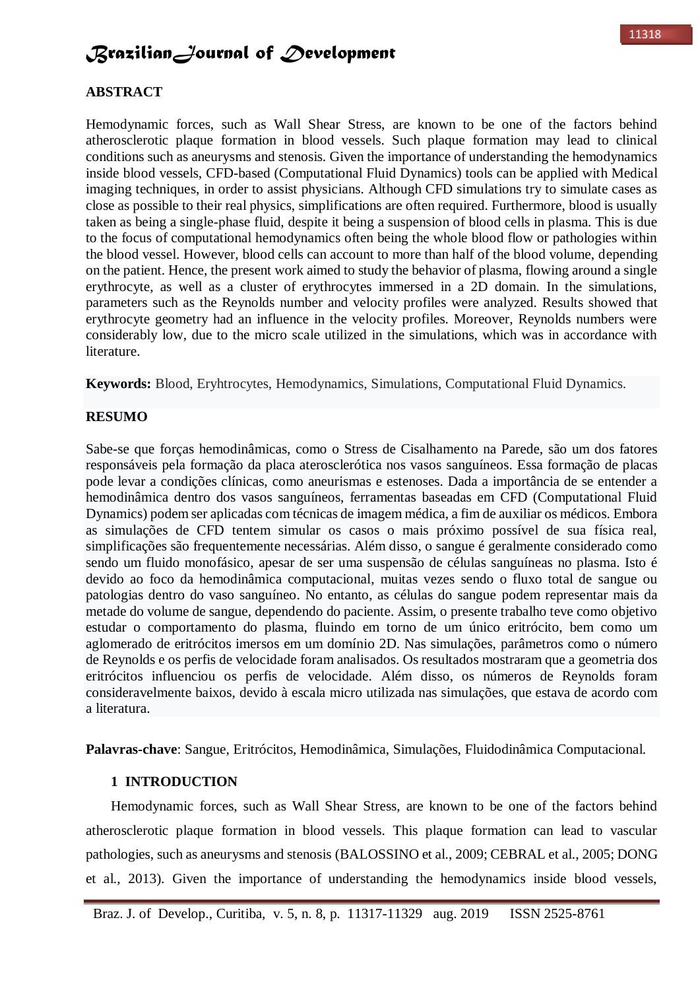### **ABSTRACT**

Hemodynamic forces, such as Wall Shear Stress, are known to be one of the factors behind atherosclerotic plaque formation in blood vessels. Such plaque formation may lead to clinical conditions such as aneurysms and stenosis. Given the importance of understanding the hemodynamics inside blood vessels, CFD-based (Computational Fluid Dynamics) tools can be applied with Medical imaging techniques, in order to assist physicians. Although CFD simulations try to simulate cases as close as possible to their real physics, simplifications are often required. Furthermore, blood is usually taken as being a single-phase fluid, despite it being a suspension of blood cells in plasma. This is due to the focus of computational hemodynamics often being the whole blood flow or pathologies within the blood vessel. However, blood cells can account to more than half of the blood volume, depending on the patient. Hence, the present work aimed to study the behavior of plasma, flowing around a single erythrocyte, as well as a cluster of erythrocytes immersed in a 2D domain. In the simulations, parameters such as the Reynolds number and velocity profiles were analyzed. Results showed that erythrocyte geometry had an influence in the velocity profiles. Moreover, Reynolds numbers were considerably low, due to the micro scale utilized in the simulations, which was in accordance with literature.

**Keywords:** Blood, Eryhtrocytes, Hemodynamics, Simulations, Computational Fluid Dynamics.

### **RESUMO**

Sabe-se que forças hemodinâmicas, como o Stress de Cisalhamento na Parede, são um dos fatores responsáveis pela formação da placa aterosclerótica nos vasos sanguíneos. Essa formação de placas pode levar a condições clínicas, como aneurismas e estenoses. Dada a importância de se entender a hemodinâmica dentro dos vasos sanguíneos, ferramentas baseadas em CFD (Computational Fluid Dynamics) podem ser aplicadas com técnicas de imagem médica, a fim de auxiliar os médicos. Embora as simulações de CFD tentem simular os casos o mais próximo possível de sua física real, simplificações são frequentemente necessárias. Além disso, o sangue é geralmente considerado como sendo um fluido monofásico, apesar de ser uma suspensão de células sanguíneas no plasma. Isto é devido ao foco da hemodinâmica computacional, muitas vezes sendo o fluxo total de sangue ou patologias dentro do vaso sanguíneo. No entanto, as células do sangue podem representar mais da metade do volume de sangue, dependendo do paciente. Assim, o presente trabalho teve como objetivo estudar o comportamento do plasma, fluindo em torno de um único eritrócito, bem como um aglomerado de eritrócitos imersos em um domínio 2D. Nas simulações, parâmetros como o número de Reynolds e os perfis de velocidade foram analisados. Os resultados mostraram que a geometria dos eritrócitos influenciou os perfis de velocidade. Além disso, os números de Reynolds foram consideravelmente baixos, devido à escala micro utilizada nas simulações, que estava de acordo com a literatura.

**Palavras-chave**: Sangue, Eritrócitos, Hemodinâmica, Simulações, Fluidodinâmica Computacional.

## **1 INTRODUCTION**

Hemodynamic forces, such as Wall Shear Stress, are known to be one of the factors behind atherosclerotic plaque formation in blood vessels. This plaque formation can lead to vascular pathologies, such as aneurysms and stenosis (BALOSSINO et al., 2009; CEBRAL et al., 2005; DONG et al., 2013). Given the importance of understanding the hemodynamics inside blood vessels,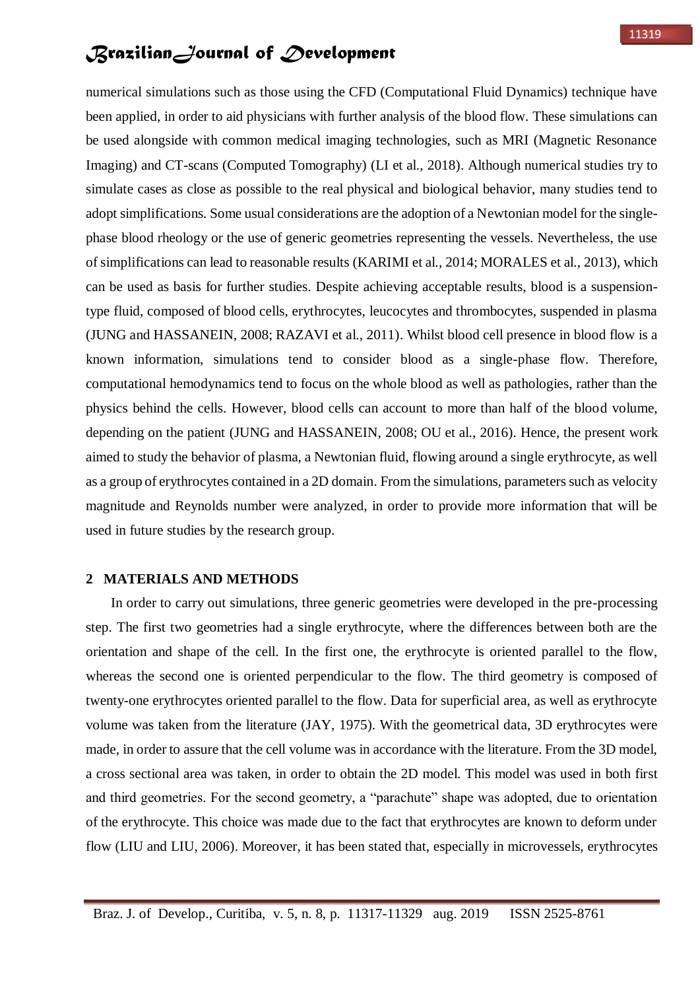numerical simulations such as those using the CFD (Computational Fluid Dynamics) technique have been applied, in order to aid physicians with further analysis of the blood flow. These simulations can be used alongside with common medical imaging technologies, such as MRI (Magnetic Resonance Imaging) and CT-scans (Computed Tomography) (LI et al., 2018). Although numerical studies try to simulate cases as close as possible to the real physical and biological behavior, many studies tend to adopt simplifications. Some usual considerations are the adoption of a Newtonian model for the singlephase blood rheology or the use of generic geometries representing the vessels. Nevertheless, the use of simplifications can lead to reasonable results (KARIMI et al., 2014; MORALES et al., 2013), which can be used as basis for further studies. Despite achieving acceptable results, blood is a suspensiontype fluid, composed of blood cells, erythrocytes, leucocytes and thrombocytes, suspended in plasma (JUNG and HASSANEIN, 2008; RAZAVI et al., 2011). Whilst blood cell presence in blood flow is a known information, simulations tend to consider blood as a single-phase flow. Therefore, computational hemodynamics tend to focus on the whole blood as well as pathologies, rather than the physics behind the cells. However, blood cells can account to more than half of the blood volume, depending on the patient (JUNG and HASSANEIN, 2008; OU et al., 2016). Hence, the present work aimed to study the behavior of plasma, a Newtonian fluid, flowing around a single erythrocyte, as well as a group of erythrocytes contained in a 2D domain. From the simulations, parameters such as velocity magnitude and Reynolds number were analyzed, in order to provide more information that will be used in future studies by the research group.

## **2 MATERIALS AND METHODS**

In order to carry out simulations, three generic geometries were developed in the pre-processing step. The first two geometries had a single erythrocyte, where the differences between both are the orientation and shape of the cell. In the first one, the erythrocyte is oriented parallel to the flow, whereas the second one is oriented perpendicular to the flow. The third geometry is composed of twenty-one erythrocytes oriented parallel to the flow. Data for superficial area, as well as erythrocyte volume was taken from the literature (JAY, 1975). With the geometrical data, 3D erythrocytes were made, in order to assure that the cell volume was in accordance with the literature. From the 3D model, a cross sectional area was taken, in order to obtain the 2D model. This model was used in both first and third geometries. For the second geometry, a "parachute" shape was adopted, due to orientation of the erythrocyte. This choice was made due to the fact that erythrocytes are known to deform under flow (LIU and LIU, 2006). Moreover, it has been stated that, especially in microvessels, erythrocytes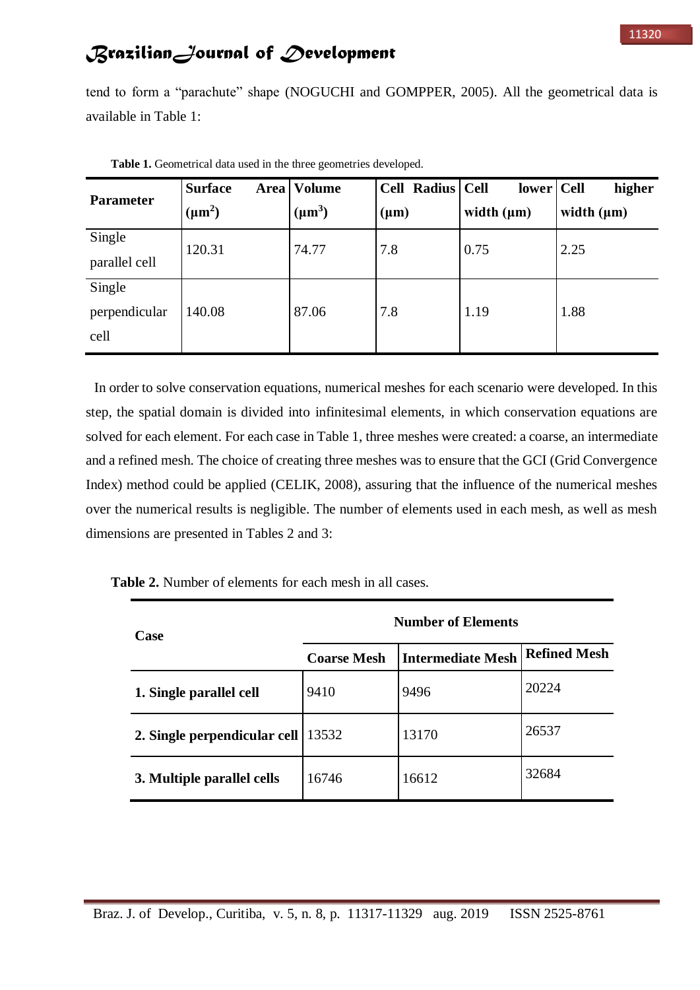tend to form a "parachute" shape (NOGUCHI and GOMPPER, 2005). All the geometrical data is available in Table 1:

| <b>Parameter</b>                | <b>Surface</b><br>$(\mu m^2)$ | Area   Volume<br>$(\mu m^3)$ | Cell Radius Cell<br>$(\mu m)$ | lower   Cell<br>width $(\mu m)$ | higher<br>width $(\mu m)$ |
|---------------------------------|-------------------------------|------------------------------|-------------------------------|---------------------------------|---------------------------|
| Single<br>parallel cell         | 120.31                        | 74.77                        | 7.8                           | 0.75                            | 2.25                      |
| Single<br>perpendicular<br>cell | 140.08                        | 87.06                        | 7.8                           | 1.19                            | 1.88                      |

**Table 1.** Geometrical data used in the three geometries developed.

In order to solve conservation equations, numerical meshes for each scenario were developed. In this step, the spatial domain is divided into infinitesimal elements, in which conservation equations are solved for each element. For each case in Table 1, three meshes were created: a coarse, an intermediate and a refined mesh. The choice of creating three meshes was to ensure that the GCI (Grid Convergence Index) method could be applied (CELIK, 2008), assuring that the influence of the numerical meshes over the numerical results is negligible. The number of elements used in each mesh, as well as mesh dimensions are presented in Tables 2 and 3:

**Table 2.** Number of elements for each mesh in all cases.

| Case                         | <b>Number of Elements</b> |                          |                     |  |
|------------------------------|---------------------------|--------------------------|---------------------|--|
|                              | <b>Coarse Mesh</b>        | <b>Intermediate Mesh</b> | <b>Refined Mesh</b> |  |
| 1. Single parallel cell      | 9410                      | 9496                     | 20224               |  |
| 2. Single perpendicular cell | 13532                     | 13170                    | 26537               |  |
| 3. Multiple parallel cells   | 16746                     | 16612                    | 32684               |  |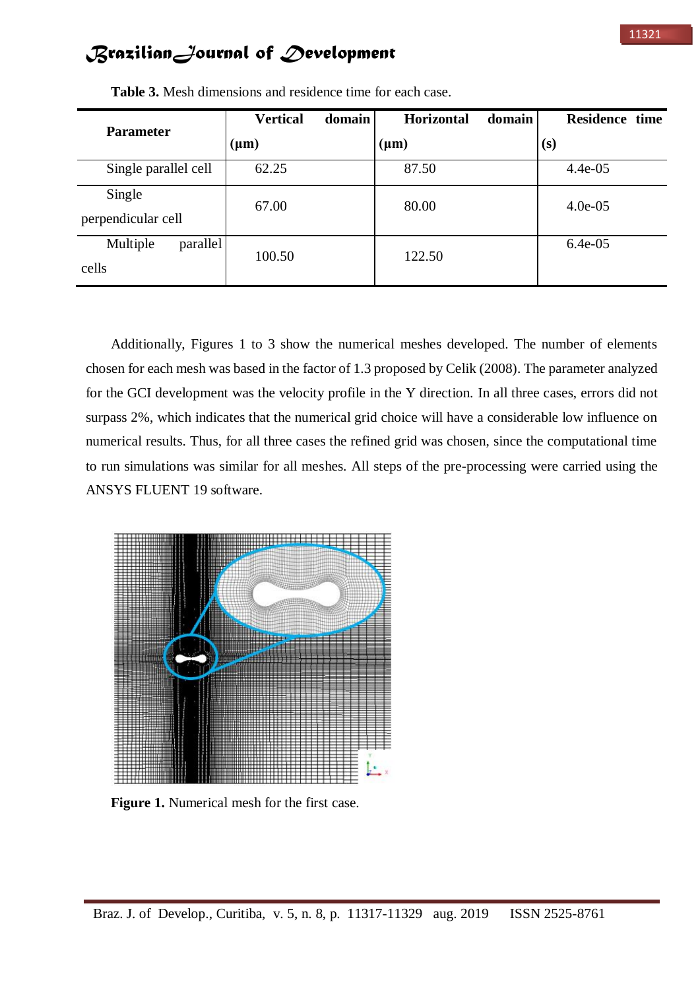| <b>Parameter</b>              | <b>Vertical</b><br>domain | Horizontal<br>domain | Residence time |
|-------------------------------|---------------------------|----------------------|----------------|
|                               | $(\mu m)$                 | $(\mu m)$            | (s)            |
| Single parallel cell          | 62.25                     | 87.50                | $4.4e-05$      |
| Single<br>perpendicular cell  | 67.00                     | 80.00                | $4.0e-05$      |
| Multiple<br>parallel<br>cells | 100.50                    | 122.50               | $6.4e-05$      |

**Table 3.** Mesh dimensions and residence time for each case.

Additionally, Figures 1 to 3 show the numerical meshes developed. The number of elements chosen for each mesh was based in the factor of 1.3 proposed by Celik (2008). The parameter analyzed for the GCI development was the velocity profile in the Y direction. In all three cases, errors did not surpass 2%, which indicates that the numerical grid choice will have a considerable low influence on numerical results. Thus, for all three cases the refined grid was chosen, since the computational time to run simulations was similar for all meshes. All steps of the pre-processing were carried using the ANSYS FLUENT 19 software.



**Figure 1.** Numerical mesh for the first case.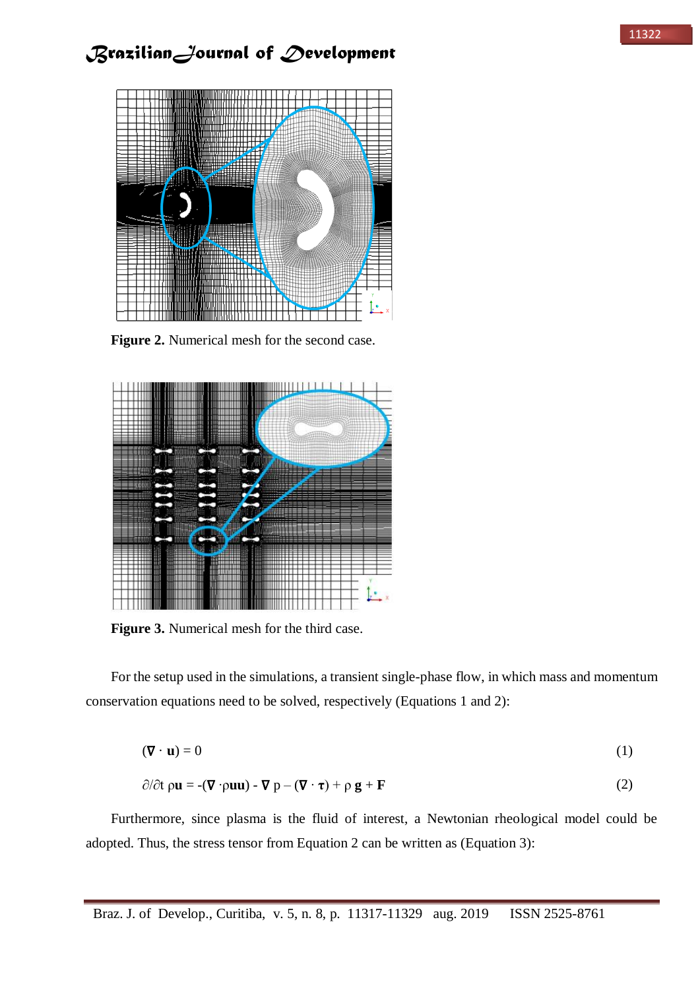

**Figure 2.** Numerical mesh for the second case.



**Figure 3.** Numerical mesh for the third case.

For the setup used in the simulations, a transient single-phase flow, in which mass and momentum conservation equations need to be solved, respectively (Equations 1 and 2):

$$
(\nabla \cdot \mathbf{u}) = 0 \tag{1}
$$

$$
\partial/\partial t \rho \mathbf{u} = -(\nabla \cdot \rho \mathbf{u} \mathbf{u}) - \nabla p - (\nabla \cdot \tau) + \rho \mathbf{g} + \mathbf{F}
$$
 (2)

Furthermore, since plasma is the fluid of interest, a Newtonian rheological model could be adopted. Thus, the stress tensor from Equation 2 can be written as (Equation 3):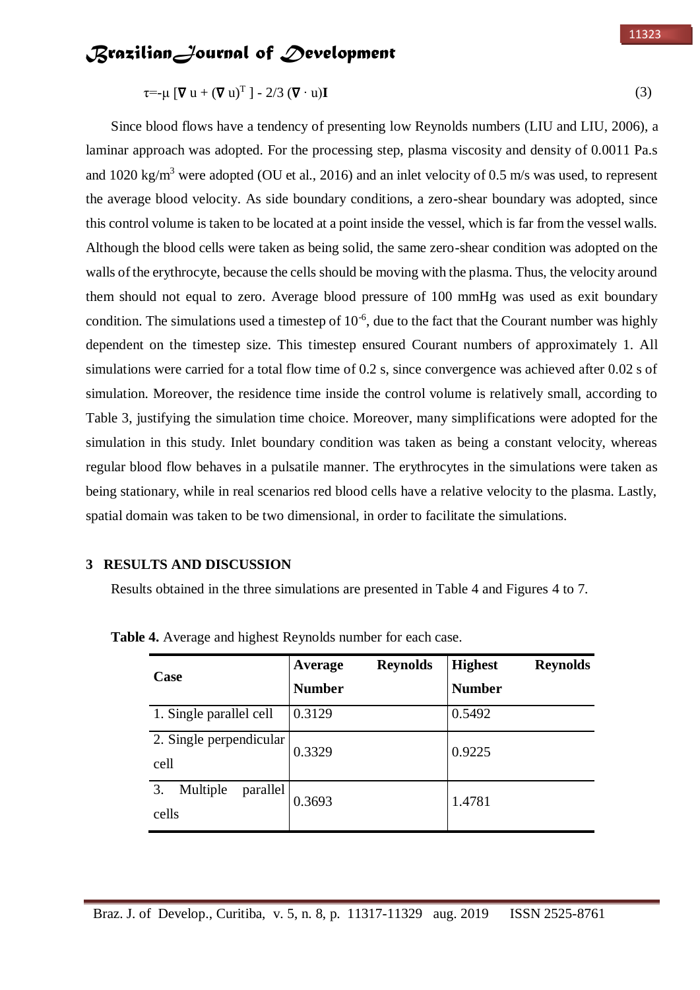$\tau = -\mu \left[ \nabla u + (\nabla u)^T \right] - 2/3 \left( \nabla \cdot u \right) \mathbf{I}$  (3)

Since blood flows have a tendency of presenting low Reynolds numbers (LIU and LIU, 2006), a laminar approach was adopted. For the processing step, plasma viscosity and density of 0.0011 Pa.s and 1020 kg/m<sup>3</sup> were adopted (OU et al., 2016) and an inlet velocity of 0.5 m/s was used, to represent the average blood velocity. As side boundary conditions, a zero-shear boundary was adopted, since this control volume is taken to be located at a point inside the vessel, which is far from the vessel walls. Although the blood cells were taken as being solid, the same zero-shear condition was adopted on the walls of the erythrocyte, because the cells should be moving with the plasma. Thus, the velocity around them should not equal to zero. Average blood pressure of 100 mmHg was used as exit boundary condition. The simulations used a timestep of  $10^{-6}$ , due to the fact that the Courant number was highly dependent on the timestep size. This timestep ensured Courant numbers of approximately 1. All simulations were carried for a total flow time of 0.2 s, since convergence was achieved after 0.02 s of simulation. Moreover, the residence time inside the control volume is relatively small, according to Table 3, justifying the simulation time choice. Moreover, many simplifications were adopted for the simulation in this study. Inlet boundary condition was taken as being a constant velocity, whereas regular blood flow behaves in a pulsatile manner. The erythrocytes in the simulations were taken as being stationary, while in real scenarios red blood cells have a relative velocity to the plasma. Lastly, spatial domain was taken to be two dimensional, in order to facilitate the simulations.

## **3 RESULTS AND DISCUSSION**

Results obtained in the three simulations are presented in Table 4 and Figures 4 to 7.

| <b>Case</b>                         | <b>Reynolds</b><br>Average<br><b>Number</b> | <b>Highest</b><br><b>Reynolds</b><br><b>Number</b> |
|-------------------------------------|---------------------------------------------|----------------------------------------------------|
| 1. Single parallel cell             | 0.3129                                      | 0.5492                                             |
| 2. Single perpendicular<br>cell     | 0.3329                                      | 0.9225                                             |
| Multiple<br>3.<br>parallel<br>cells | 0.3693                                      | 1.4781                                             |

**Table 4.** Average and highest Reynolds number for each case.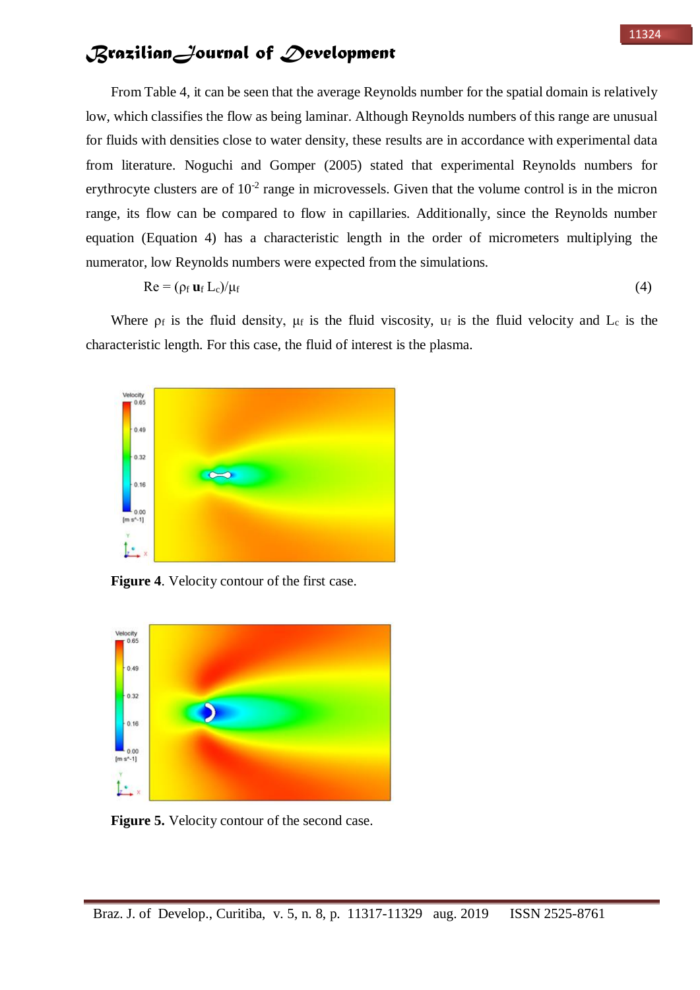From Table 4, it can be seen that the average Reynolds number for the spatial domain is relatively low, which classifies the flow as being laminar. Although Reynolds numbers of this range are unusual for fluids with densities close to water density, these results are in accordance with experimental data from literature. Noguchi and Gomper (2005) stated that experimental Reynolds numbers for erythrocyte clusters are of  $10^{-2}$  range in microvessels. Given that the volume control is in the micron range, its flow can be compared to flow in capillaries. Additionally, since the Reynolds number equation (Equation 4) has a characteristic length in the order of micrometers multiplying the numerator, low Reynolds numbers were expected from the simulations.

$$
Re = (\rho_f \mathbf{u}_f L_c)/\mu_f \tag{4}
$$

Where  $\rho_f$  is the fluid density,  $\mu_f$  is the fluid viscosity,  $u_f$  is the fluid velocity and  $L_c$  is the characteristic length. For this case, the fluid of interest is the plasma.



**Figure 4**. Velocity contour of the first case.



**Figure 5.** Velocity contour of the second case.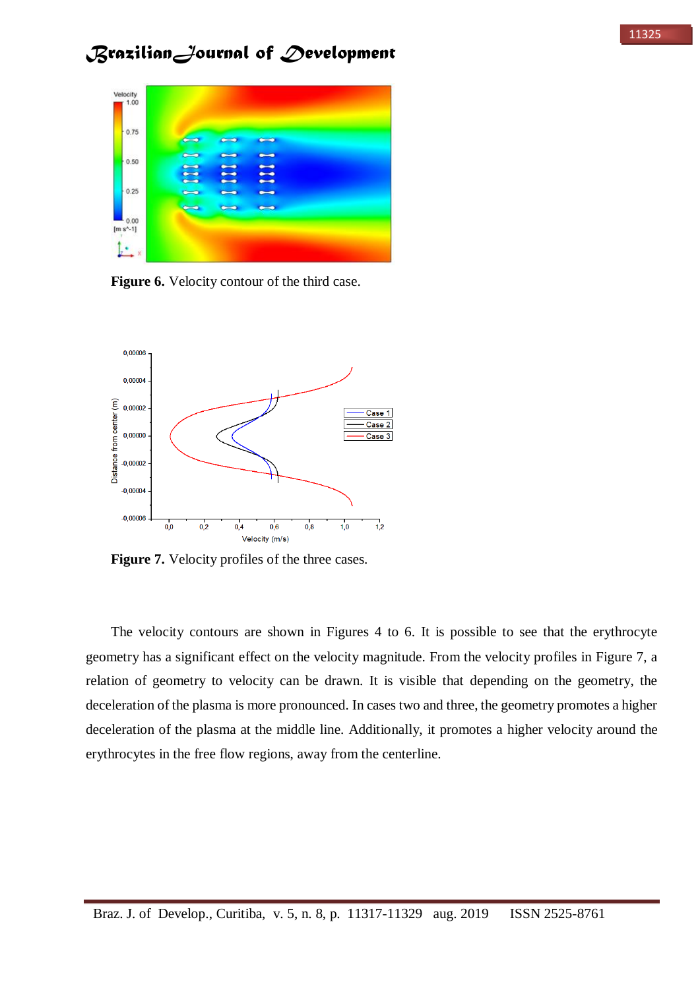

**Figure 6.** Velocity contour of the third case.



**Figure 7.** Velocity profiles of the three cases.

The velocity contours are shown in Figures 4 to 6. It is possible to see that the erythrocyte geometry has a significant effect on the velocity magnitude. From the velocity profiles in Figure 7, a relation of geometry to velocity can be drawn. It is visible that depending on the geometry, the deceleration of the plasma is more pronounced. In cases two and three, the geometry promotes a higher deceleration of the plasma at the middle line. Additionally, it promotes a higher velocity around the erythrocytes in the free flow regions, away from the centerline.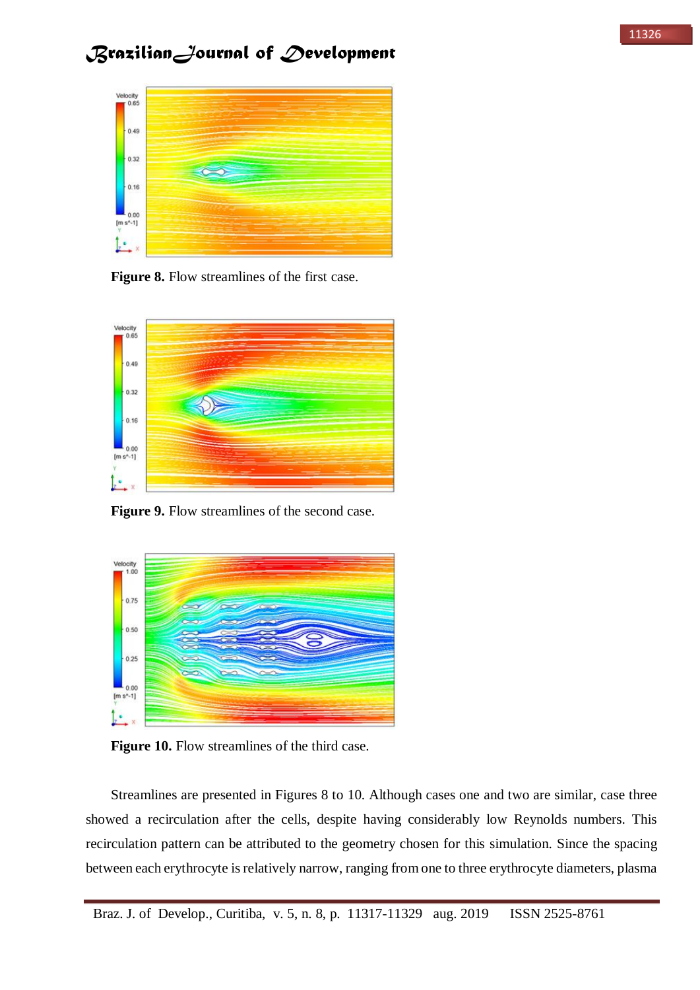

**Figure 8.** Flow streamlines of the first case.



Figure 9. Flow streamlines of the second case.



**Figure 10.** Flow streamlines of the third case.

Streamlines are presented in Figures 8 to 10. Although cases one and two are similar, case three showed a recirculation after the cells, despite having considerably low Reynolds numbers. This recirculation pattern can be attributed to the geometry chosen for this simulation. Since the spacing between each erythrocyte is relatively narrow, ranging from one to three erythrocyte diameters, plasma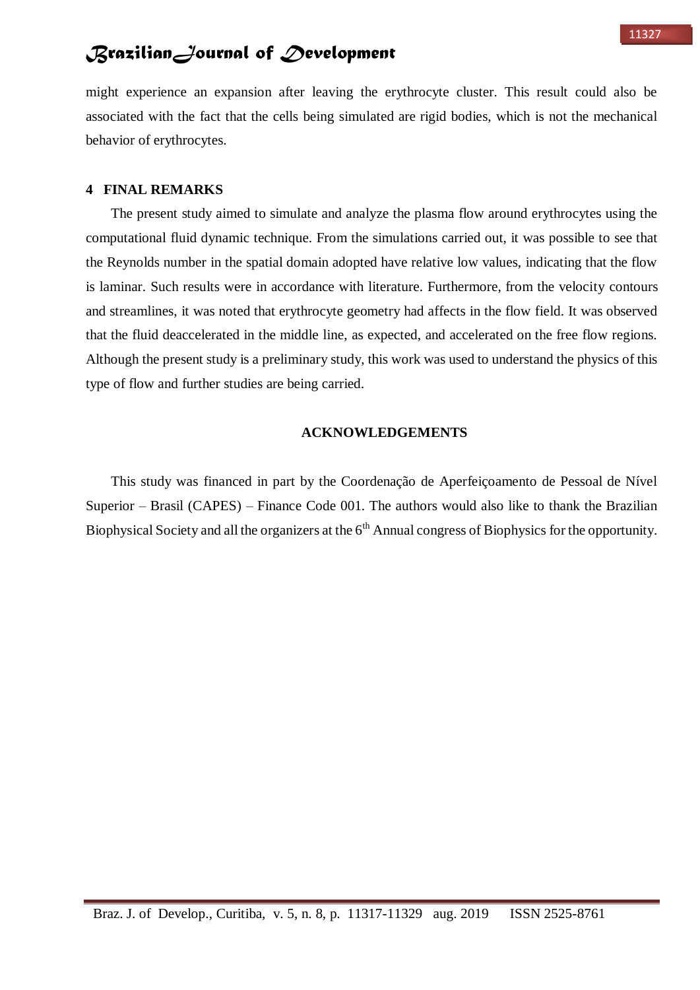might experience an expansion after leaving the erythrocyte cluster. This result could also be associated with the fact that the cells being simulated are rigid bodies, which is not the mechanical behavior of erythrocytes.

## **4 FINAL REMARKS**

The present study aimed to simulate and analyze the plasma flow around erythrocytes using the computational fluid dynamic technique. From the simulations carried out, it was possible to see that the Reynolds number in the spatial domain adopted have relative low values, indicating that the flow is laminar. Such results were in accordance with literature. Furthermore, from the velocity contours and streamlines, it was noted that erythrocyte geometry had affects in the flow field. It was observed that the fluid deaccelerated in the middle line, as expected, and accelerated on the free flow regions. Although the present study is a preliminary study, this work was used to understand the physics of this type of flow and further studies are being carried.

### **ACKNOWLEDGEMENTS**

This study was financed in part by the Coordenação de Aperfeiçoamento de Pessoal de Nível Superior – Brasil (CAPES) – Finance Code 001. The authors would also like to thank the Brazilian Biophysical Society and all the organizers at the  $6<sup>th</sup>$  Annual congress of Biophysics for the opportunity.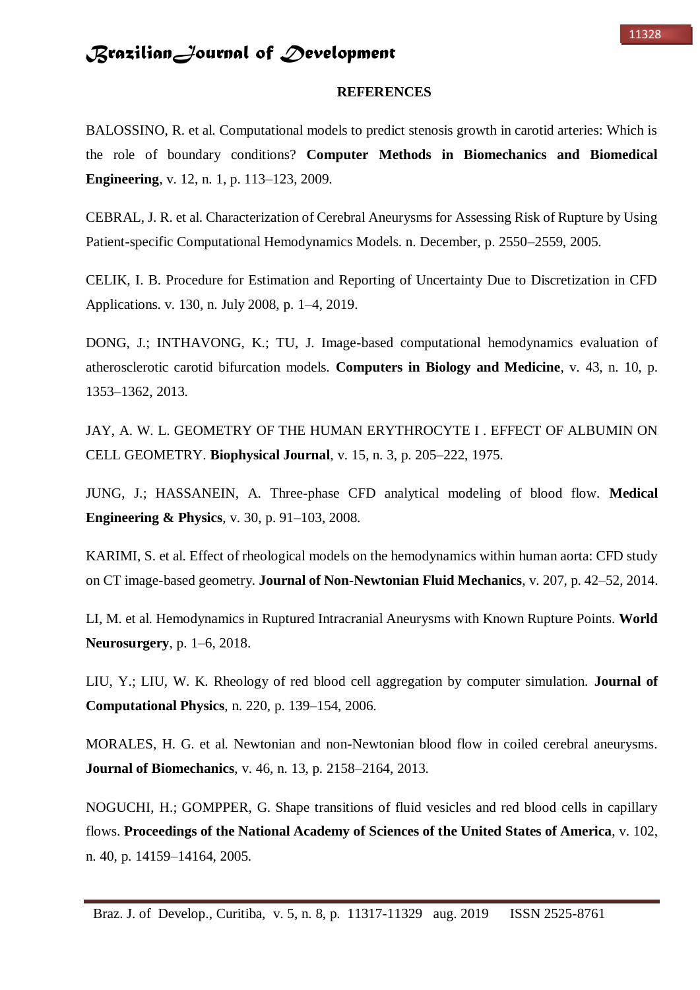#### **REFERENCES**

BALOSSINO, R. et al. Computational models to predict stenosis growth in carotid arteries: Which is the role of boundary conditions? **Computer Methods in Biomechanics and Biomedical Engineering**, v. 12, n. 1, p. 113–123, 2009.

CEBRAL, J. R. et al. Characterization of Cerebral Aneurysms for Assessing Risk of Rupture by Using Patient-specific Computational Hemodynamics Models. n. December, p. 2550–2559, 2005.

CELIK, I. B. Procedure for Estimation and Reporting of Uncertainty Due to Discretization in CFD Applications. v. 130, n. July 2008, p. 1–4, 2019.

DONG, J.; INTHAVONG, K.; TU, J. Image-based computational hemodynamics evaluation of atherosclerotic carotid bifurcation models. **Computers in Biology and Medicine**, v. 43, n. 10, p. 1353–1362, 2013.

JAY, A. W. L. GEOMETRY OF THE HUMAN ERYTHROCYTE I . EFFECT OF ALBUMIN ON CELL GEOMETRY. **Biophysical Journal**, v. 15, n. 3, p. 205–222, 1975.

JUNG, J.; HASSANEIN, A. Three-phase CFD analytical modeling of blood flow. **Medical Engineering & Physics**, v. 30, p. 91–103, 2008.

KARIMI, S. et al. Effect of rheological models on the hemodynamics within human aorta: CFD study on CT image-based geometry. **Journal of Non-Newtonian Fluid Mechanics**, v. 207, p. 42–52, 2014.

LI, M. et al. Hemodynamics in Ruptured Intracranial Aneurysms with Known Rupture Points. **World Neurosurgery**, p. 1–6, 2018.

LIU, Y.; LIU, W. K. Rheology of red blood cell aggregation by computer simulation. **Journal of Computational Physics**, n. 220, p. 139–154, 2006.

MORALES, H. G. et al. Newtonian and non-Newtonian blood flow in coiled cerebral aneurysms. **Journal of Biomechanics**, v. 46, n. 13, p. 2158–2164, 2013.

NOGUCHI, H.; GOMPPER, G. Shape transitions of fluid vesicles and red blood cells in capillary flows. **Proceedings of the National Academy of Sciences of the United States of America**, v. 102, n. 40, p. 14159–14164, 2005.